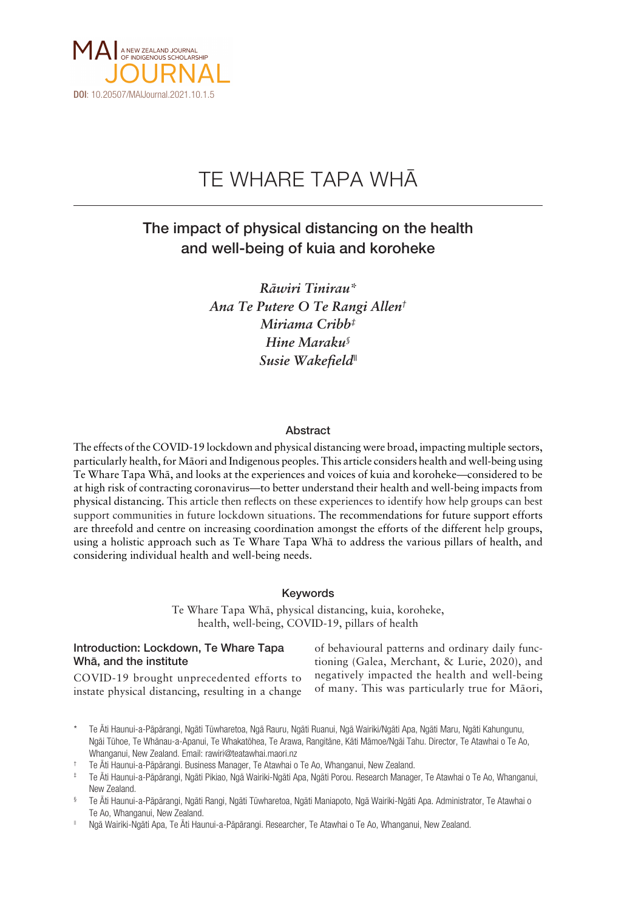

# TE WHARE TAPA WHÄ

# The impact of physical distancing on the health and well-being of kuia and koroheke

*Räwiri Tinirau\* Ana Te Putere O Te Rangi Allen† Miriama Cribb‡ Hine Maraku§ Susie Wakefield||*

#### Abstract

The effects of the COVID-19 lockdown and physical distancing were broad, impacting multiple sectors, particularly health, for Mäori and Indigenous peoples. This article considers health and well-being using Te Whare Tapa Whä, and looks at the experiences and voices of kuia and koroheke—considered to be at high risk of contracting coronavirus—to better understand their health and well-being impacts from physical distancing. This article then reflects on these experiences to identify how help groups can best support communities in future lockdown situations. The recommendations for future support efforts are threefold and centre on increasing coordination amongst the efforts of the different help groups, using a holistic approach such as Te Whare Tapa Whä to address the various pillars of health, and considering individual health and well-being needs.

#### Keywords

Te Whare Tapa Whä, physical distancing, kuia, koroheke, health, well-being, COVID-19, pillars of health

## Introduction: Lockdown, Te Whare Tapa Whä, and the institute

of behavioural patterns and ordinary daily functioning (Galea, Merchant, & Lurie, 2020), and negatively impacted the health and well-being of many. This was particularly true for Mäori,

COVID-19 brought unprecedented efforts to instate physical distancing, resulting in a change

Te Äti Haunui-a-Pāpārangi, Ngāti Tūwharetoa, Ngā Rauru, Ngāti Ruanui, Ngā Wairiki/Ngāti Apa, Ngāti Maru, Ngāti Kahungunu, Ngäi Tühoe, Te Whänau-a-Apanui, Te Whakatöhea, Te Arawa, Rangitäne, Käti Mämoe/Ngäi Tahu. Director, Te Atawhai o Te Ao, Whanganui, New Zealand. Email: [rawiri@teatawhai.maori.nz](mailto:rawiri@teatawhai.maori.nz)

‡ Te Äti Haunui-a-Päpärangi, Ngäti Pikiao, Ngä Wairiki-Ngäti Apa, Ngäti Porou. Research Manager, Te Atawhai o Te Ao, Whanganui, New Zealand.

§ Te Äti Haunui-a-Päpärangi, Ngäti Rangi, Ngäti Tüwharetoa, Ngäti Maniapoto, Ngä Wairiki-Ngäti Apa. Administrator, Te Atawhai o Te Ao, Whanganui, New Zealand.

|| Ngä Wairiki-Ngäti Apa, Te Äti Haunui-a-Päpärangi. Researcher, Te Atawhai o Te Ao, Whanganui, New Zealand.

<sup>†</sup> Te Äti Haunui-a-Päpärangi. Business Manager, Te Atawhai o Te Ao, Whanganui, New Zealand.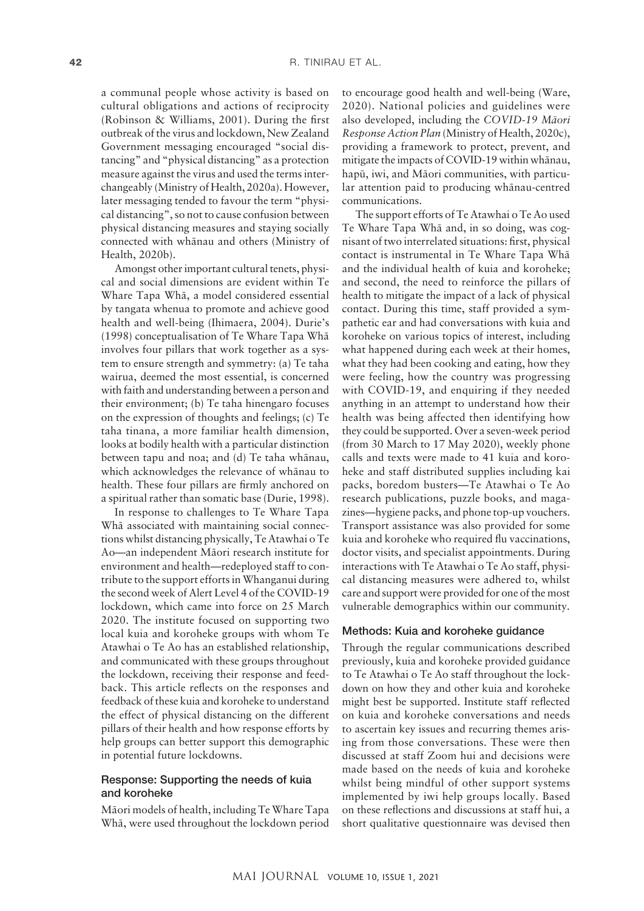a communal people whose activity is based on cultural obligations and actions of reciprocity (Robinson & Williams, 2001). During the first outbreak of the virus and lockdown, New Zealand Government messaging encouraged "social distancing" and "physical distancing" as a protection measure against the virus and used the terms interchangeably (Ministry of Health, 2020a). However, later messaging tended to favour the term "physical distancing", so not to cause confusion between physical distancing measures and staying socially connected with whänau and others (Ministry of Health, 2020b).

Amongst other important cultural tenets, physical and social dimensions are evident within Te Whare Tapa Whä, a model considered essential by tangata whenua to promote and achieve good health and well-being (Ihimaera, 2004). Durie's (1998) conceptualisation of Te Whare Tapa Whä involves four pillars that work together as a system to ensure strength and symmetry: (a) Te taha wairua, deemed the most essential, is concerned with faith and understanding between a person and their environment; (b) Te taha hinengaro focuses on the expression of thoughts and feelings; (c) Te taha tinana, a more familiar health dimension, looks at bodily health with a particular distinction between tapu and noa; and (d) Te taha whänau, which acknowledges the relevance of whänau to health. These four pillars are firmly anchored on a spiritual rather than somatic base (Durie, 1998).

In response to challenges to Te Whare Tapa Whä associated with maintaining social connections whilst distancing physically, Te Atawhai o Te Ao—an independent Mäori research institute for environment and health—redeployed staff to contribute to the support efforts in Whanganui during the second week of Alert Level 4 of the COVID-19 lockdown, which came into force on 25 March 2020. The institute focused on supporting two local kuia and koroheke groups with whom Te Atawhai o Te Ao has an established relationship, and communicated with these groups throughout the lockdown, receiving their response and feedback. This article reflects on the responses and feedback of these kuia and koroheke to understand the effect of physical distancing on the different pillars of their health and how response efforts by help groups can better support this demographic in potential future lockdowns.

#### Response: Supporting the needs of kuia and koroheke

Mäori models of health, including Te Whare Tapa Whä, were used throughout the lockdown period

to encourage good health and well-being (Ware, 2020). National policies and guidelines were also developed, including the *COVID-19 Mäori Response Action Plan* (Ministry of Health, 2020c), providing a framework to protect, prevent, and mitigate the impacts of COVID-19 within whänau, hapü, iwi, and Mäori communities, with particular attention paid to producing whänau-centred communications.

The support efforts of Te Atawhai o Te Ao used Te Whare Tapa Whä and, in so doing, was cognisant of two interrelated situations: first, physical contact is instrumental in Te Whare Tapa Whä and the individual health of kuia and koroheke; and second, the need to reinforce the pillars of health to mitigate the impact of a lack of physical contact. During this time, staff provided a sympathetic ear and had conversations with kuia and koroheke on various topics of interest, including what happened during each week at their homes, what they had been cooking and eating, how they were feeling, how the country was progressing with COVID-19, and enquiring if they needed anything in an attempt to understand how their health was being affected then identifying how they could be supported. Over a seven-week period (from 30 March to 17 May 2020), weekly phone calls and texts were made to 41 kuia and koroheke and staff distributed supplies including kai packs, boredom busters—Te Atawhai o Te Ao research publications, puzzle books, and magazines—hygiene packs, and phone top-up vouchers. Transport assistance was also provided for some kuia and koroheke who required flu vaccinations, doctor visits, and specialist appointments. During interactions with Te Atawhai o Te Ao staff, physical distancing measures were adhered to, whilst care and support were provided for one of the most vulnerable demographics within our community.

#### Methods: Kuia and koroheke guidance

Through the regular communications described previously, kuia and koroheke provided guidance to Te Atawhai o Te Ao staff throughout the lockdown on how they and other kuia and koroheke might best be supported. Institute staff reflected on kuia and koroheke conversations and needs to ascertain key issues and recurring themes arising from those conversations. These were then discussed at staff Zoom hui and decisions were made based on the needs of kuia and koroheke whilst being mindful of other support systems implemented by iwi help groups locally. Based on these reflections and discussions at staff hui, a short qualitative questionnaire was devised then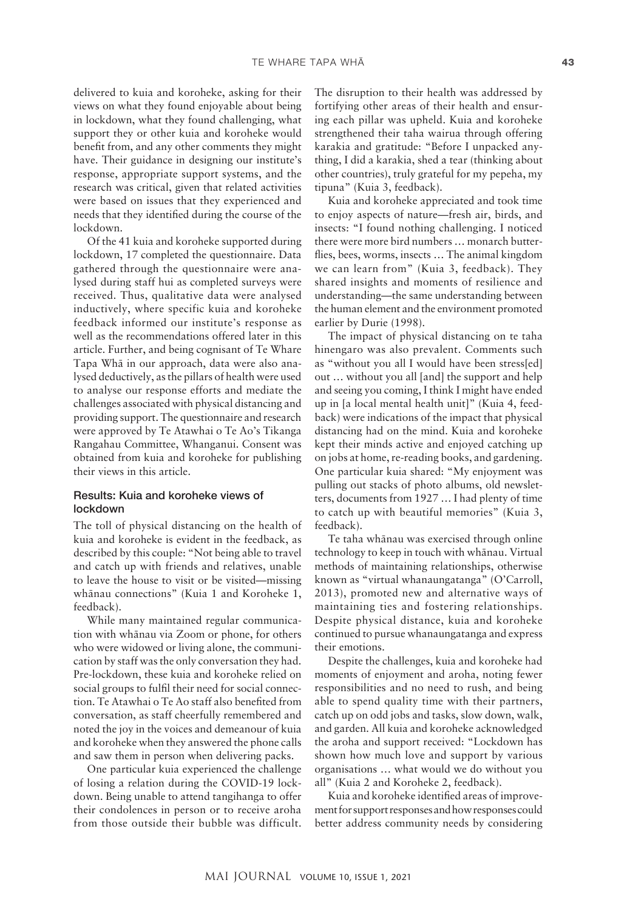delivered to kuia and koroheke, asking for their views on what they found enjoyable about being in lockdown, what they found challenging, what support they or other kuia and koroheke would benefit from, and any other comments they might have. Their guidance in designing our institute's response, appropriate support systems, and the research was critical, given that related activities were based on issues that they experienced and needs that they identified during the course of the lockdown.

Of the 41 kuia and koroheke supported during lockdown, 17 completed the questionnaire. Data gathered through the questionnaire were analysed during staff hui as completed surveys were received. Thus, qualitative data were analysed inductively, where specific kuia and koroheke feedback informed our institute's response as well as the recommendations offered later in this article. Further, and being cognisant of Te Whare Tapa Whä in our approach, data were also analysed deductively, as the pillars of health were used to analyse our response efforts and mediate the challenges associated with physical distancing and providing support. The questionnaire and research were approved by Te Atawhai o Te Ao's Tikanga Rangahau Committee, Whanganui. Consent was obtained from kuia and koroheke for publishing their views in this article.

#### Results: Kuia and koroheke views of lockdown

The toll of physical distancing on the health of kuia and koroheke is evident in the feedback, as described by this couple: "Not being able to travel and catch up with friends and relatives, unable to leave the house to visit or be visited—missing whänau connections" (Kuia 1 and Koroheke 1, feedback).

While many maintained regular communication with whänau via Zoom or phone, for others who were widowed or living alone, the communication by staff was the only conversation they had. Pre-lockdown, these kuia and koroheke relied on social groups to fulfil their need for social connection. Te Atawhai o Te Ao staff also benefited from conversation, as staff cheerfully remembered and noted the joy in the voices and demeanour of kuia and koroheke when they answered the phone calls and saw them in person when delivering packs.

One particular kuia experienced the challenge of losing a relation during the COVID-19 lockdown. Being unable to attend tangihanga to offer their condolences in person or to receive aroha from those outside their bubble was difficult.

The disruption to their health was addressed by fortifying other areas of their health and ensuring each pillar was upheld. Kuia and koroheke strengthened their taha wairua through offering karakia and gratitude: "Before I unpacked anything, I did a karakia, shed a tear (thinking about other countries), truly grateful for my pepeha, my tipuna" (Kuia 3, feedback).

Kuia and koroheke appreciated and took time to enjoy aspects of nature—fresh air, birds, and insects: "I found nothing challenging. I noticed there were more bird numbers … monarch butterflies, bees, worms, insects … The animal kingdom we can learn from" (Kuia 3, feedback). They shared insights and moments of resilience and understanding—the same understanding between the human element and the environment promoted earlier by Durie (1998).

The impact of physical distancing on te taha hinengaro was also prevalent. Comments such as "without you all I would have been stress[ed] out … without you all [and] the support and help and seeing you coming, I think I might have ended up in [a local mental health unit]" (Kuia 4, feedback) were indications of the impact that physical distancing had on the mind. Kuia and koroheke kept their minds active and enjoyed catching up on jobs at home, re-reading books, and gardening. One particular kuia shared: "My enjoyment was pulling out stacks of photo albums, old newsletters, documents from 1927 … I had plenty of time to catch up with beautiful memories" (Kuia 3, feedback).

Te taha whänau was exercised through online technology to keep in touch with whänau. Virtual methods of maintaining relationships, otherwise known as "virtual whanaungatanga" (O'Carroll, 2013), promoted new and alternative ways of maintaining ties and fostering relationships. Despite physical distance, kuia and koroheke continued to pursue whanaungatanga and express their emotions.

Despite the challenges, kuia and koroheke had moments of enjoyment and aroha, noting fewer responsibilities and no need to rush, and being able to spend quality time with their partners, catch up on odd jobs and tasks, slow down, walk, and garden. All kuia and koroheke acknowledged the aroha and support received: "Lockdown has shown how much love and support by various organisations … what would we do without you all" (Kuia 2 and Koroheke 2, feedback).

Kuia and koroheke identified areas of improvement for support responses and how responses could better address community needs by considering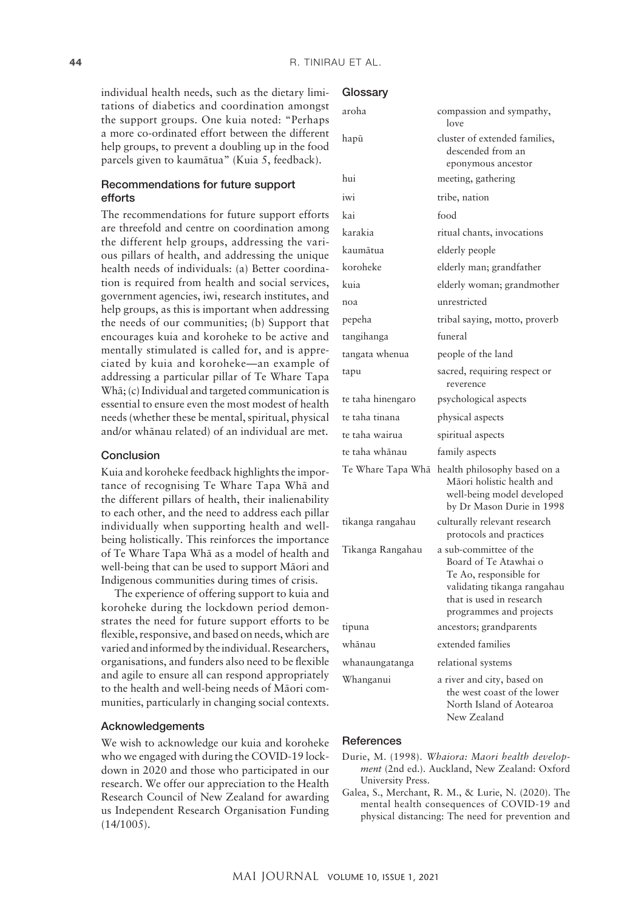individual health needs, such as the dietary limitations of diabetics and coordination amongst the support groups. One kuia noted: "Perhaps a more co-ordinated effort between the different help groups, to prevent a doubling up in the food parcels given to kaumätua" (Kuia 5, feedback).

# Recommendations for future support efforts

The recommendations for future support efforts are threefold and centre on coordination among the different help groups, addressing the various pillars of health, and addressing the unique health needs of individuals: (a) Better coordination is required from health and social services, government agencies, iwi, research institutes, and help groups, as this is important when addressing the needs of our communities; (b) Support that encourages kuia and koroheke to be active and mentally stimulated is called for, and is appreciated by kuia and koroheke—an example of addressing a particular pillar of Te Whare Tapa Whä; (c) Individual and targeted communication is essential to ensure even the most modest of health needs (whether these be mental, spiritual, physical and/or whänau related) of an individual are met.

#### Conclusion

Kuia and koroheke feedback highlights the importance of recognising Te Whare Tapa Whä and the different pillars of health, their inalienability to each other, and the need to address each pillar individually when supporting health and wellbeing holistically. This reinforces the importance of Te Whare Tapa Whä as a model of health and well-being that can be used to support Mäori and Indigenous communities during times of crisis.

The experience of offering support to kuia and koroheke during the lockdown period demonstrates the need for future support efforts to be flexible, responsive, and based on needs, which are varied and informed by the individual. Researchers, organisations, and funders also need to be flexible and agile to ensure all can respond appropriately to the health and well-being needs of Mäori communities, particularly in changing social contexts.

#### Acknowledgements

We wish to acknowledge our kuia and koroheke who we engaged with during the COVID-19 lockdown in 2020 and those who participated in our research. We offer our appreciation to the Health Research Council of New Zealand for awarding us Independent Research Organisation Funding (14/1005).

#### **Glossarv**

| aroha             | compassion and sympathy,<br>love                                                                                                                                |
|-------------------|-----------------------------------------------------------------------------------------------------------------------------------------------------------------|
| hapū              | cluster of extended families,<br>descended from an<br>eponymous ancestor                                                                                        |
| hui               | meeting, gathering                                                                                                                                              |
| iwi               | tribe, nation                                                                                                                                                   |
| kai               | food                                                                                                                                                            |
| karakia           | ritual chants, invocations                                                                                                                                      |
| kaumātua          | elderly people                                                                                                                                                  |
| koroheke          | elderly man; grandfather                                                                                                                                        |
| kuia              | elderly woman; grandmother                                                                                                                                      |
| noa               | unrestricted                                                                                                                                                    |
| pepeha            | tribal saying, motto, proverb                                                                                                                                   |
| tangihanga        | funeral                                                                                                                                                         |
| tangata whenua    | people of the land                                                                                                                                              |
| tapu              | sacred, requiring respect or<br>reverence                                                                                                                       |
| te taha hinengaro | psychological aspects                                                                                                                                           |
| te taha tinana    | physical aspects                                                                                                                                                |
| te taha wairua    | spiritual aspects                                                                                                                                               |
| te taha whānau    | family aspects                                                                                                                                                  |
| Te Whare Tapa Whā | health philosophy based on a<br>Māori holistic health and<br>well-being model developed<br>by Dr Mason Durie in 1998                                            |
| tikanga rangahau  | culturally relevant research<br>protocols and practices                                                                                                         |
| Tikanga Rangahau  | a sub-committee of the<br>Board of Te Atawhai o<br>Te Ao, responsible for<br>validating tikanga rangahau<br>that is used in research<br>programmes and projects |
| tipuna            | ancestors; grandparents                                                                                                                                         |
| whānau            | extended families                                                                                                                                               |
| whanaungatanga    | relational systems                                                                                                                                              |
| Whanganui         | a river and city, based on<br>the west coast of the lower<br>North Island of Aotearoa<br>New Zealand                                                            |

### **References**

- Durie, M. (1998). *Whaiora: Maori health development* (2nd ed.). Auckland, New Zealand: Oxford University Press.
- Galea, S., Merchant, R. M., & Lurie, N. (2020). The mental health consequences of COVID-19 and physical distancing: The need for prevention and